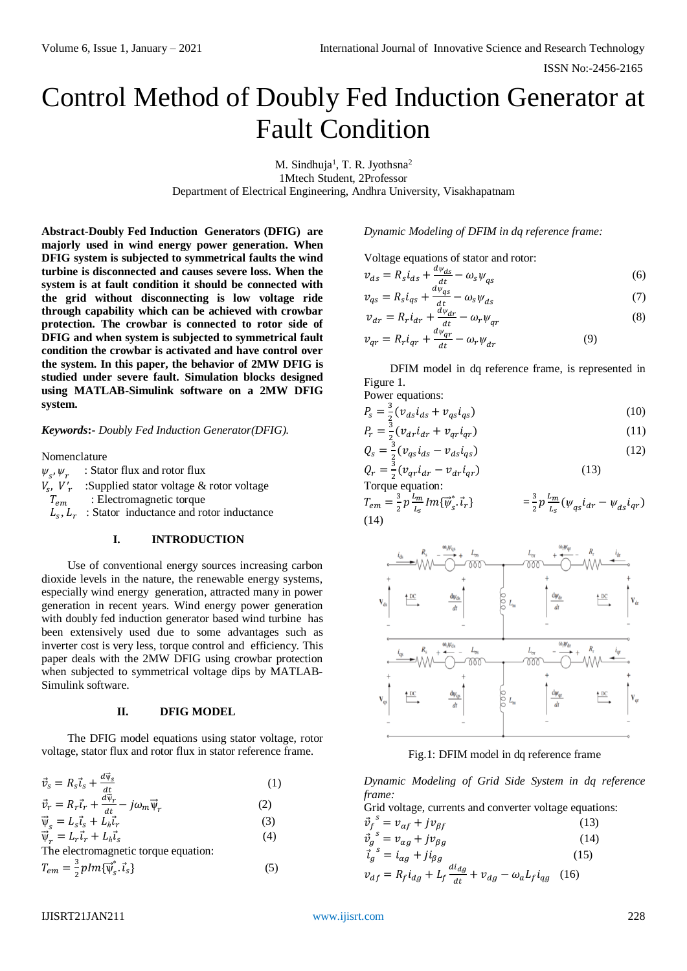ISSN No:-2456-2165

# Control Method of Doubly Fed Induction Generator at Fault Condition

M. Sindhuja<sup>1</sup>, T. R. Jyothsna<sup>2</sup> 1Mtech Student, 2Professor Department of Electrical Engineering, Andhra University, Visakhapatnam

**Abstract-Doubly Fed Induction Generators (DFIG) are majorly used in wind energy power generation. When DFIG system is subjected to symmetrical faults the wind turbine is disconnected and causes severe loss. When the system is at fault condition it should be connected with the grid without disconnecting is low voltage ride through capability which can be achieved with crowbar protection. The crowbar is connected to rotor side of DFIG and when system is subjected to symmetrical fault condition the crowbar is activated and have control over the system. In this paper, the behavior of 2MW DFIG is studied under severe fault. Simulation blocks designed using MATLAB-Simulink software on a 2MW DFIG system.** 

*Keywords***:-** *Doubly Fed Induction Generator(DFIG).*

Nomenclature

*ѱ* ,*ѱ* : Stator flux and rotor flux  $V_s$ ,  $V'_r$  :Supplied stator voltage & rotor voltage  $T_{em}$  : Electromagnetic torque  $L_s$ ,  $L_r$ : Stator inductance and rotor inductance

### **I. INTRODUCTION**

Use of conventional energy sources increasing carbon dioxide levels in the nature, the renewable energy systems, especially wind energy generation, attracted many in power generation in recent years. Wind energy power generation with doubly fed induction generator based wind turbine has been extensively used due to some advantages such as inverter cost is very less, torque control and efficiency. This paper deals with the 2MW DFIG using crowbar protection when subjected to symmetrical voltage dips by MATLAB-Simulink software.

#### **II. DFIG MODEL**

The DFIG model equations using stator voltage, rotor voltage, stator flux and rotor flux in stator reference frame.

| $\vec{v}_s = R_s \vec{i}_s + \frac{d\vec{v}_s}{dt}$                                   | (1) |
|---------------------------------------------------------------------------------------|-----|
| $\vec{\nu}_r = R_r \vec{\iota}_r + \frac{d\vec{\nu}_r}{dt} - j \omega_m \vec{\psi}_r$ | (2) |
| $\vec{\Psi}_{s} = L_{s} \vec{\iota}_{s} + L_{h} \vec{\iota}_{r}$                      | (3) |
| $\vec{\Psi}_r = L_r \vec{\iota}_r + L_h \vec{\iota}_s$                                | (4) |
| The electromagnetic torque equation:                                                  |     |

$$
T_{em} = \frac{3}{2} p Im{\overline{\psi}_s}^* \cdot \overrightarrow{t}_s \}
$$
 (5)

*Dynamic Modeling of DFIM in dq reference frame:*

Voltage equations of stator and rotor:

$$
v_{ds} = R_s i_{ds} + \frac{d\psi_{ds}}{dt} - \omega_s \psi_{qs} \tag{6}
$$

$$
v_{qs} = R_s i_{qs} + \frac{d\psi_{qs}}{dt} - \omega_s \psi_{ds}
$$
 (7)

$$
v_{dr} = R_r i_{dr} + \frac{d\psi_{dr}}{dt} - \omega_r \psi_{qr}
$$
\n<sup>(8)</sup>

$$
v_{qr} = R_r i_{qr} + \frac{d\psi_{qr}}{dt} - \omega_r \psi_{dr} \tag{9}
$$

DFIM model in dq reference frame, is represented in Figure 1.

Power equations:

$$
P_s = \frac{3}{2} (v_{ds} i_{ds} + v_{qs} i_{qs})
$$
\n(10)

$$
P_r = \frac{3}{2} (v_{dr} i_{dr} + v_{qr} i_{qr})
$$
\n(11)

$$
Q_s = \frac{3}{2} (v_{qs} i_{ds} - v_{ds} i_{qs})
$$
\n<sup>(12)</sup>

$$
Q_r = \frac{3}{2} (v_{qr} i_{dr} - v_{dr} i_{qr})
$$
\nTorque equation:

\n
$$
Q_r = \frac{3}{2} (v_{qr} i_{dr} - v_{dr} i_{qr})
$$
\n(13)

$$
T_{em} = \frac{3}{2} p \frac{L_m}{L_s} Im{\{\vec{\psi}_s : \vec{t}_r\}} \qquad \qquad = \frac{3}{2} p \frac{L_m}{L_s} (\psi_{qs} i_{dr} - \psi_{ds} i_{qr})
$$
\n(14)



Fig.1: DFIM model in dq reference frame

*Dynamic Modeling of Grid Side System in dq reference frame:*

Grid voltage, currents and converter voltage equations:

$$
\begin{aligned}\n\vec{v}_f^s &= v_{\alpha f} + j v_{\beta f} \tag{13} \\
\vec{v}_g^s &= v_{\alpha g} + j v_{\beta g} \tag{14} \\
\vec{t}_g^s &= i_{\alpha g} + j i_{\beta g} \tag{15} \\
v_{df} &= R_f i_{dg} + L_f \frac{di_{dg}}{dt} + v_{dg} - \omega_a L_f i_{qg} \tag{16}\n\end{aligned}
$$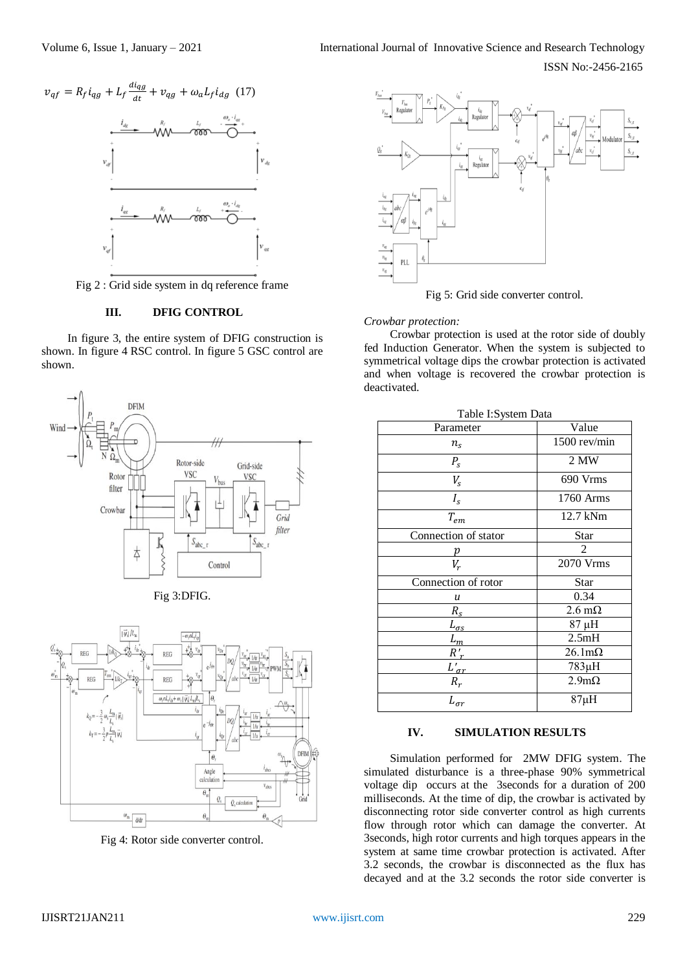

Fig 2 : Grid side system in dq reference frame

# **III. DFIG CONTROL**

In figure 3, the entire system of DFIG construction is shown. In figure 4 RSC control. In figure 5 GSC control are shown.







Fig 4: Rotor side converter control.



Fig 5: Grid side converter control.

### *Crowbar protection:*

Crowbar protection is used at the rotor side of doubly fed Induction Generator. When the system is subjected to symmetrical voltage dips the crowbar protection is activated and when voltage is recovered the crowbar protection is deactivated.

| Table I: System Data          |                       |
|-------------------------------|-----------------------|
| Parameter                     | Value                 |
| $n_{\rm s}$                   | 1500 rev/min          |
| $P_{S}$                       | 2 MW                  |
| $V_{S}$                       | 690 Vrms              |
| $I_{\rm s}$                   | 1760 Arms             |
| $T_{em}$                      | 12.7 kNm              |
| Connection of stator          | Star                  |
|                               | 2                     |
| $V_r$                         | 2070 Vrms             |
| Connection of rotor           | <b>Star</b>           |
| u                             | 0.34                  |
| $R_{\rm s}$                   | $2.6 \text{ m}\Omega$ |
| $L_{\sigma s}$                | 87 μH                 |
|                               | 2.5mH                 |
| $\frac{\overline{L}_m}{R'_r}$ | $26.1 \text{m}\Omega$ |
| $L'_{\sigma r}$               | $783\mu H$            |
| $R_r$                         | $2.9m\Omega$          |
| $L_{\sigma r}$                | $87\mu H$             |

#### **IV. SIMULATION RESULTS**

Simulation performed for 2MW DFIG system. The simulated disturbance is a three-phase 90% symmetrical voltage dip occurs at the 3seconds for a duration of 200 milliseconds. At the time of dip, the crowbar is activated by disconnecting rotor side converter control as high currents flow through rotor which can damage the converter. At 3seconds, high rotor currents and high torques appears in the system at same time crowbar protection is activated. After 3.2 seconds, the crowbar is disconnected as the flux has decayed and at the 3.2 seconds the rotor side converter is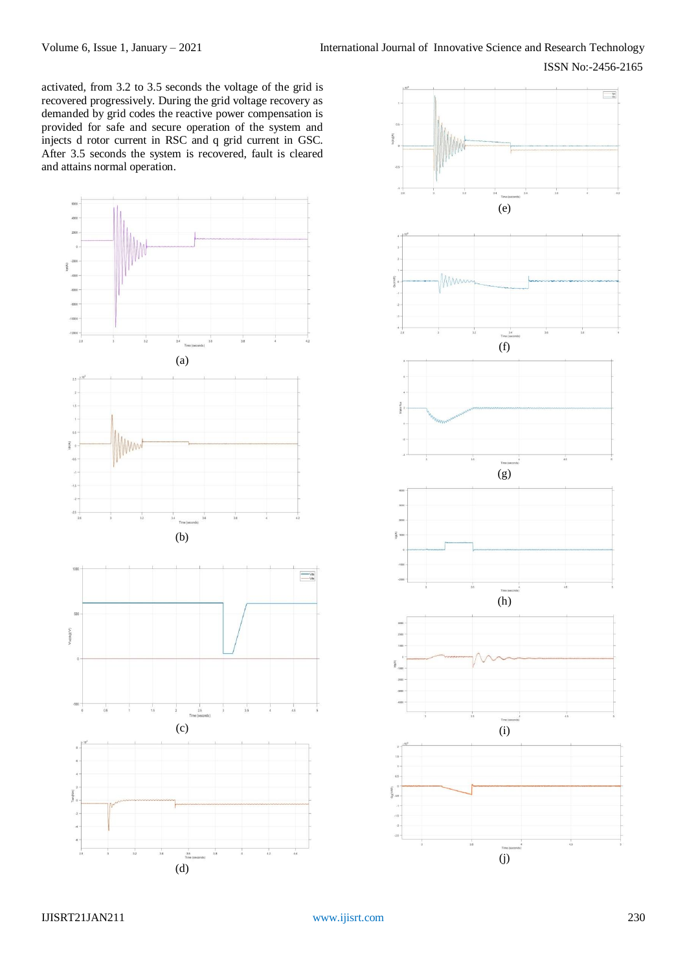activated, from 3.2 to 3.5 seconds the voltage of the grid is recovered progressively. During the grid voltage recovery as demanded by grid codes the reactive power compensation is provided for safe and secure operation of the system and injects d rotor current in RSC and q grid current in GSC. After 3.5 seconds the system is recovered, fault is cleared and attains normal operation.